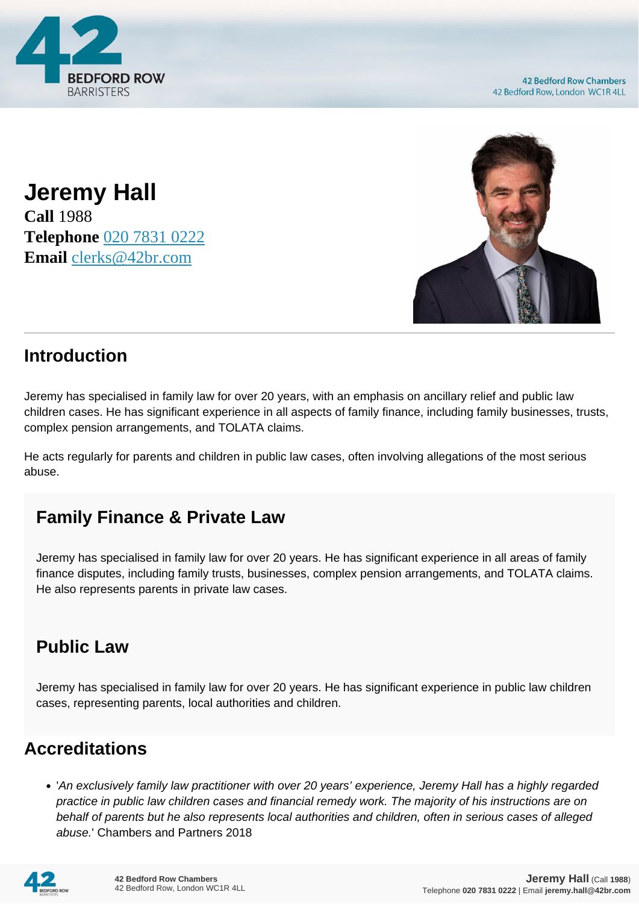

**Jeremy Hall Call** 1988 **Telephone** [020 7831 0222](https://pdf.codeshore.co/_42br/tel:020 7831 0222) **Email** [clerks@42br.com](mailto:clerks@42br.com)



### **Introduction**

Jeremy has specialised in family law for over 20 years, with an emphasis on ancillary relief and public law children cases. He has significant experience in all aspects of family finance, including family businesses, trusts, complex pension arrangements, and TOLATA claims.

He acts regularly for parents and children in public law cases, often involving allegations of the most serious abuse.

## **Family Finance & Private Law**

Jeremy has specialised in family law for over 20 years. He has significant experience in all areas of family finance disputes, including family trusts, businesses, complex pension arrangements, and TOLATA claims. He also represents parents in private law cases.

# **Public Law**

Jeremy has specialised in family law for over 20 years. He has significant experience in public law children cases, representing parents, local authorities and children.

#### **Accreditations**

'An exclusively family law practitioner with over 20 years' experience, Jeremy Hall has a highly regarded practice in public law children cases and financial remedy work. The majority of his instructions are on behalf of parents but he also represents local authorities and children, often in serious cases of alleged abuse.' Chambers and Partners 2018